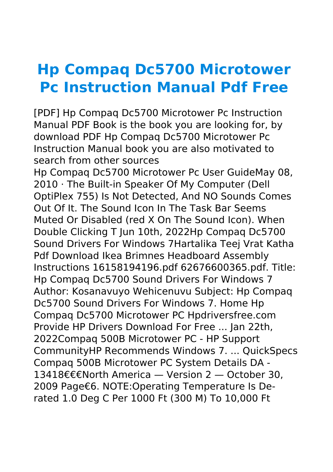## **Hp Compaq Dc5700 Microtower Pc Instruction Manual Pdf Free**

[PDF] Hp Compaq Dc5700 Microtower Pc Instruction Manual PDF Book is the book you are looking for, by download PDF Hp Compaq Dc5700 Microtower Pc Instruction Manual book you are also motivated to search from other sources

Hp Compaq Dc5700 Microtower Pc User GuideMay 08, 2010 · The Built-in Speaker Of My Computer (Dell OptiPlex 755) Is Not Detected, And NO Sounds Comes Out Of It. The Sound Icon In The Task Bar Seems Muted Or Disabled (red X On The Sound Icon). When Double Clicking T Jun 10th, 2022Hp Compaq Dc5700 Sound Drivers For Windows 7Hartalika Teej Vrat Katha Pdf Download Ikea Brimnes Headboard Assembly Instructions 16158194196.pdf 62676600365.pdf. Title: Hp Compaq Dc5700 Sound Drivers For Windows 7 Author: Kosanavuyo Wehicenuvu Subject: Hp Compaq Dc5700 Sound Drivers For Windows 7. Home Hp Compaq Dc5700 Microtower PC Hpdriversfree.com Provide HP Drivers Download For Free ... Jan 22th, 2022Compaq 500B Microtower PC - HP Support CommunityHP Recommends Windows 7. ... QuickSpecs Compaq 500B Microtower PC System Details DA - 13418€€€North America — Version 2 — October 30, 2009 Page€6. NOTE:Operating Temperature Is Derated 1.0 Deg C Per 1000 Ft (300 M) To 10,000 Ft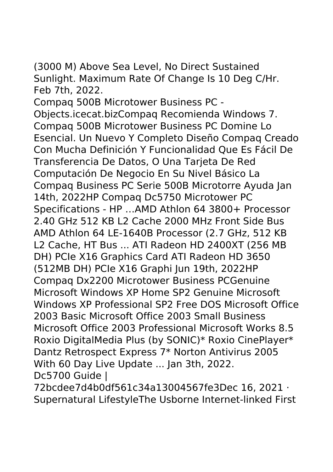(3000 M) Above Sea Level, No Direct Sustained Sunlight. Maximum Rate Of Change Is 10 Deg C/Hr. Feb 7th, 2022.

Compaq 500B Microtower Business PC - Objects.icecat.bizCompaq Recomienda Windows 7. Compaq 500B Microtower Business PC Domine Lo Esencial. Un Nuevo Y Completo Diseño Compaq Creado Con Mucha Definición Y Funcionalidad Que Es Fácil De Transferencia De Datos, O Una Tarjeta De Red Computación De Negocio En Su Nivel Básico La Compaq Business PC Serie 500B Microtorre Ayuda Jan 14th, 2022HP Compaq Dc5750 Microtower PC Specifications - HP …AMD Athlon 64 3800+ Processor 2.40 GHz 512 KB L2 Cache 2000 MHz Front Side Bus AMD Athlon 64 LE-1640B Processor (2.7 GHz, 512 KB L2 Cache, HT Bus ... ATI Radeon HD 2400XT (256 MB DH) PCIe X16 Graphics Card ATI Radeon HD 3650 (512MB DH) PCIe X16 Graphi Jun 19th, 2022HP Compaq Dx2200 Microtower Business PCGenuine Microsoft Windows XP Home SP2 Genuine Microsoft Windows XP Professional SP2 Free DOS Microsoft Office 2003 Basic Microsoft Office 2003 Small Business Microsoft Office 2003 Professional Microsoft Works 8.5 Roxio DigitalMedia Plus (by SONIC)\* Roxio CinePlayer\* Dantz Retrospect Express 7\* Norton Antivirus 2005 With 60 Day Live Update ... Jan 3th, 2022. Dc5700 Guide |

72bcdee7d4b0df561c34a13004567fe3Dec 16, 2021 · Supernatural LifestyleThe Usborne Internet-linked First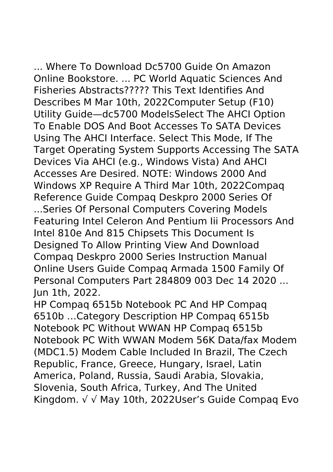... Where To Download Dc5700 Guide On Amazon Online Bookstore. ... PC World Aquatic Sciences And Fisheries Abstracts????? This Text Identifies And Describes M Mar 10th, 2022Computer Setup (F10) Utility Guide—dc5700 ModelsSelect The AHCI Option To Enable DOS And Boot Accesses To SATA Devices Using The AHCI Interface. Select This Mode, If The Target Operating System Supports Accessing The SATA Devices Via AHCI (e.g., Windows Vista) And AHCI Accesses Are Desired. NOTE: Windows 2000 And Windows XP Require A Third Mar 10th, 2022Compaq Reference Guide Compaq Deskpro 2000 Series Of ...Series Of Personal Computers Covering Models Featuring Intel Celeron And Pentium Iii Processors And Intel 810e And 815 Chipsets This Document Is Designed To Allow Printing View And Download Compaq Deskpro 2000 Series Instruction Manual Online Users Guide Compaq Armada 1500 Family Of Personal Computers Part 284809 003 Dec 14 2020 ... Jun 1th, 2022.

HP Compaq 6515b Notebook PC And HP Compaq 6510b …Category Description HP Compaq 6515b Notebook PC Without WWAN HP Compaq 6515b Notebook PC With WWAN Modem 56K Data/fax Modem (MDC1.5) Modem Cable Included In Brazil, The Czech Republic, France, Greece, Hungary, Israel, Latin America, Poland, Russia, Saudi Arabia, Slovakia, Slovenia, South Africa, Turkey, And The United Kingdom. √ √ May 10th, 2022User's Guide Compaq Evo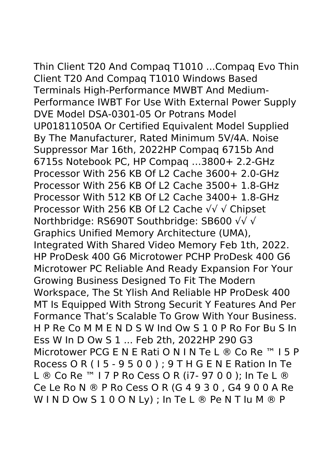Thin Client T20 And Compaq T1010 ...Compaq Evo Thin Client T20 And Compaq T1010 Windows Based Terminals High-Performance MWBT And Medium-Performance IWBT For Use With External Power Supply DVE Model DSA-0301-05 Or Potrans Model UP01811050A Or Certified Equivalent Model Supplied By The Manufacturer, Rated Minimum 5V/4A. Noise Suppressor Mar 16th, 2022HP Compaq 6715b And 6715s Notebook PC, HP Compaq …3800+ 2.2-GHz Processor With 256 KB Of L2 Cache 3600+ 2.0-GHz Processor With 256 KB Of L2 Cache 3500+ 1.8-GHz Processor With 512 KB Of L2 Cache 3400+ 1.8-GHz Processor With 256 KB Of L2 Cache √√ √ Chipset Northbridge: RS690T Southbridge: SB600 √√ √ Graphics Unified Memory Architecture (UMA), Integrated With Shared Video Memory Feb 1th, 2022. HP ProDesk 400 G6 Microtower PCHP ProDesk 400 G6 Microtower PC Reliable And Ready Expansion For Your Growing Business Designed To Fit The Modern Workspace, The St Ylish And Reliable HP ProDesk 400 MT Is Equipped With Strong Securit Y Features And Per Formance That's Scalable To Grow With Your Business. H P Re Co M M E N D S W Ind Ow S 1 0 P Ro For Bu S In Ess W In D Ow S 1 ... Feb 2th, 2022HP 290 G3 Microtower PCG E N E Rati O N I N Te L ® Co Re ™ I 5 P Rocess O R ( I 5 - 9 5 0 0 ) ; 9 T H G E N E Ration In Te L ® Co Re ™ 17 P Ro Cess O R (i7- 97 0 0 ); In Te L ® Ce Le Ro N ® P Ro Cess O R (G 4 9 3 0 , G4 9 0 0 A Re W I N D Ow S 1 0 O N Ly) ; In Te L ® Pe N T Iu M ® P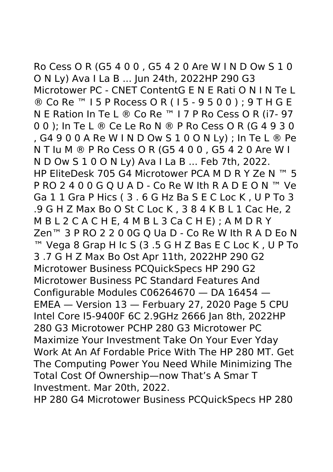Ro Cess O R (G5 4 0 0 , G5 4 2 0 Are W I N D Ow S 1 0 O N Ly) Ava I La B ... Jun 24th, 2022HP 290 G3 Microtower PC - CNET ContentG E N E Rati O N I N Te L ® Co Re ™ I 5 P Rocess O R ( I 5 - 9 5 0 0 ) ; 9 T H G E N E Ration In Te L ® Co Re ™ I 7 P Ro Cess O R (i7- 97 0 0 ); In Te L ® Ce Le Ro N ® P Ro Cess O R (G 4 9 3 0 , G4 9 0 0 A Re W I N D Ow S 1 0 O N Ly) ; In Te L ® Pe N T Iu M ® P Ro Cess O R (G5 4 0 0 , G5 4 2 0 Are W I N D Ow S 1 0 O N Ly) Ava I La B ... Feb 7th, 2022. HP EliteDesk 705 G4 Microtower PCA M D R Y Ze N ™ 5 P RO 2 4 0 0 G O U A D - Co Re W Ith R A D E O N ™ Ve Ga 1 1 Gra P Hics ( 3 . 6 G Hz Ba S E C Loc K , U P To 3 .9 G H Z Max Bo O St C Loc K , 3 8 4 K B L 1 Cac He, 2 M B L 2 C A C H E, 4 M B L 3 Ca C H E) ; A M D R Y Zen<sup>™</sup> 3 P RO 2 2 0 0G Q Ua D - Co Re W Ith R A D Eo N ™ Vega 8 Grap H Ic S (3 .5 G H Z Bas E C Loc K , U P To 3 .7 G H Z Max Bo Ost Apr 11th, 2022HP 290 G2 Microtower Business PCQuickSpecs HP 290 G2 Microtower Business PC Standard Features And Configurable Modules C06264670 — DA 16454 — EMEA — Version 13 — Ferbuary 27, 2020 Page 5 CPU Intel Core I5-9400F 6C 2.9GHz 2666 Jan 8th, 2022HP 280 G3 Microtower PCHP 280 G3 Microtower PC Maximize Your Investment Take On Your Ever Yday Work At An Af Fordable Price With The HP 280 MT. Get The Computing Power You Need While Minimizing The Total Cost Of Ownership—now That's A Smar T Investment. Mar 20th, 2022.

HP 280 G4 Microtower Business PCQuickSpecs HP 280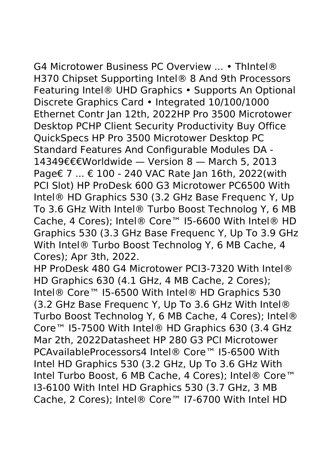G4 Microtower Business PC Overview ... • ThIntel® H370 Chipset Supporting Intel® 8 And 9th Processors Featuring Intel® UHD Graphics • Supports An Optional Discrete Graphics Card • Integrated 10/100/1000 Ethernet Contr Jan 12th, 2022HP Pro 3500 Microtower Desktop PCHP Client Security Productivity Buy Office QuickSpecs HP Pro 3500 Microtower Desktop PC Standard Features And Configurable Modules DA - 14349€€€Worldwide — Version 8 — March 5, 2013 Page€ 7 ... € 100 - 240 VAC Rate Jan 16th, 2022(with PCI Slot) HP ProDesk 600 G3 Microtower PC6500 With Intel® HD Graphics 530 (3.2 GHz Base Frequenc Y, Up To 3.6 GHz With Intel® Turbo Boost Technolog Y, 6 MB Cache, 4 Cores); Intel® Core™ I5-6600 With Intel® HD Graphics 530 (3.3 GHz Base Frequenc Y, Up To 3.9 GHz With Intel® Turbo Boost Technolog Y, 6 MB Cache, 4 Cores); Apr 3th, 2022.

HP ProDesk 480 G4 Microtower PCI3-7320 With Intel® HD Graphics 630 (4.1 GHz, 4 MB Cache, 2 Cores); Intel® Core™ I5-6500 With Intel® HD Graphics 530 (3.2 GHz Base Frequenc Y, Up To 3.6 GHz With Intel® Turbo Boost Technolog Y, 6 MB Cache, 4 Cores); Intel® Core™ I5-7500 With Intel® HD Graphics 630 (3.4 GHz Mar 2th, 2022Datasheet HP 280 G3 PCI Microtower PCAvailableProcessors4 Intel® Core™ I5-6500 With Intel HD Graphics 530 (3.2 GHz, Up To 3.6 GHz With Intel Turbo Boost, 6 MB Cache, 4 Cores); Intel® Core™ I3-6100 With Intel HD Graphics 530 (3.7 GHz, 3 MB Cache, 2 Cores); Intel® Core™ I7-6700 With Intel HD